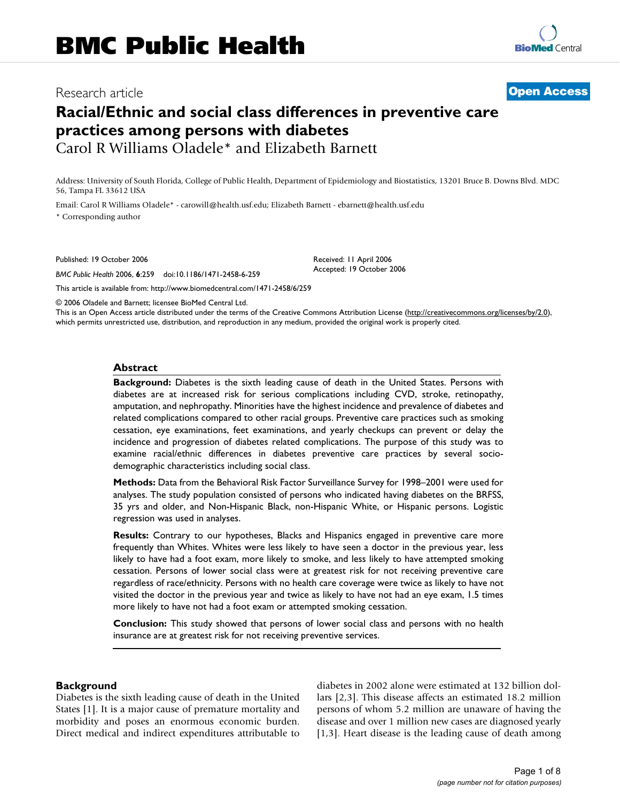# Research article **[Open Access](http://www.biomedcentral.com/info/about/charter/)**

# **Racial/Ethnic and social class differences in preventive care practices among persons with diabetes** Carol R Williams Oladele\* and Elizabeth Barnett

Address: University of South Florida, College of Public Health, Department of Epidemiology and Biostatistics, 13201 Bruce B. Downs Blvd. MDC 56, Tampa FL 33612 USA

> Received: 11 April 2006 Accepted: 19 October 2006

Email: Carol R Williams Oladele\* - carowill@health.usf.edu; Elizabeth Barnett - ebarnett@health.usf.edu

\* Corresponding author

Published: 19 October 2006

*BMC Public Health* 2006, **6**:259 doi:10.1186/1471-2458-6-259

[This article is available from: http://www.biomedcentral.com/1471-2458/6/259](http://www.biomedcentral.com/1471-2458/6/259)

© 2006 Oladele and Barnett; licensee BioMed Central Ltd.

This is an Open Access article distributed under the terms of the Creative Commons Attribution License [\(http://creativecommons.org/licenses/by/2.0\)](http://creativecommons.org/licenses/by/2.0), which permits unrestricted use, distribution, and reproduction in any medium, provided the original work is properly cited.

#### **Abstract**

**Background:** Diabetes is the sixth leading cause of death in the United States. Persons with diabetes are at increased risk for serious complications including CVD, stroke, retinopathy, amputation, and nephropathy. Minorities have the highest incidence and prevalence of diabetes and related complications compared to other racial groups. Preventive care practices such as smoking cessation, eye examinations, feet examinations, and yearly checkups can prevent or delay the incidence and progression of diabetes related complications. The purpose of this study was to examine racial/ethnic differences in diabetes preventive care practices by several sociodemographic characteristics including social class.

**Methods:** Data from the Behavioral Risk Factor Surveillance Survey for 1998–2001 were used for analyses. The study population consisted of persons who indicated having diabetes on the BRFSS, 35 yrs and older, and Non-Hispanic Black, non-Hispanic White, or Hispanic persons. Logistic regression was used in analyses.

**Results:** Contrary to our hypotheses, Blacks and Hispanics engaged in preventive care more frequently than Whites. Whites were less likely to have seen a doctor in the previous year, less likely to have had a foot exam, more likely to smoke, and less likely to have attempted smoking cessation. Persons of lower social class were at greatest risk for not receiving preventive care regardless of race/ethnicity. Persons with no health care coverage were twice as likely to have not visited the doctor in the previous year and twice as likely to have not had an eye exam, 1.5 times more likely to have not had a foot exam or attempted smoking cessation.

**Conclusion:** This study showed that persons of lower social class and persons with no health insurance are at greatest risk for not receiving preventive services.

#### **Background**

Diabetes is the sixth leading cause of death in the United States [1]. It is a major cause of premature mortality and morbidity and poses an enormous economic burden. Direct medical and indirect expenditures attributable to diabetes in 2002 alone were estimated at 132 billion dollars [2,3]. This disease affects an estimated 18.2 million persons of whom 5.2 million are unaware of having the disease and over 1 million new cases are diagnosed yearly [1,3]. Heart disease is the leading cause of death among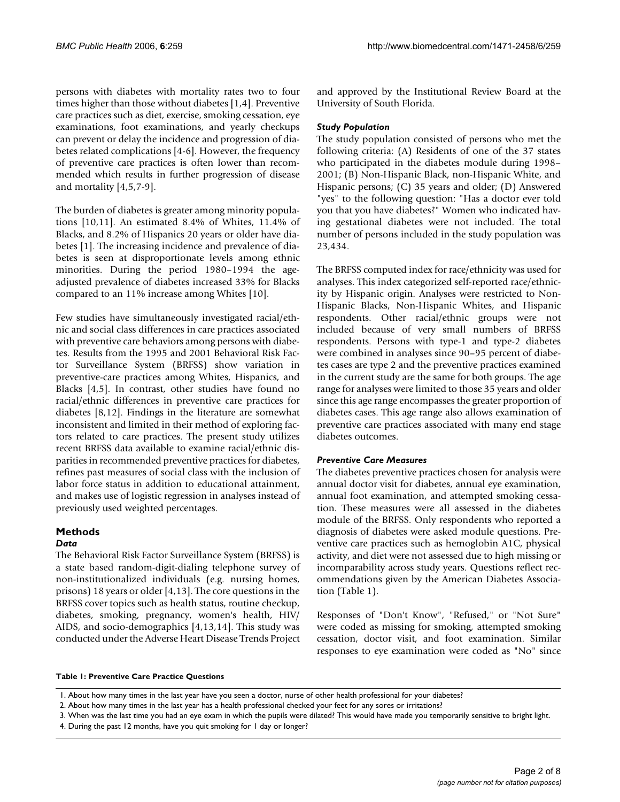persons with diabetes with mortality rates two to four times higher than those without diabetes [1,4]. Preventive care practices such as diet, exercise, smoking cessation, eye examinations, foot examinations, and yearly checkups can prevent or delay the incidence and progression of diabetes related complications [4-6]. However, the frequency of preventive care practices is often lower than recommended which results in further progression of disease and mortality [4,5,7-9].

The burden of diabetes is greater among minority populations [10,11]. An estimated 8.4% of Whites, 11.4% of Blacks, and 8.2% of Hispanics 20 years or older have diabetes [1]. The increasing incidence and prevalence of diabetes is seen at disproportionate levels among ethnic minorities. During the period 1980–1994 the ageadjusted prevalence of diabetes increased 33% for Blacks compared to an 11% increase among Whites [10].

Few studies have simultaneously investigated racial/ethnic and social class differences in care practices associated with preventive care behaviors among persons with diabetes. Results from the 1995 and 2001 Behavioral Risk Factor Surveillance System (BRFSS) show variation in preventive-care practices among Whites, Hispanics, and Blacks [4,5]. In contrast, other studies have found no racial/ethnic differences in preventive care practices for diabetes [8,12]. Findings in the literature are somewhat inconsistent and limited in their method of exploring factors related to care practices. The present study utilizes recent BRFSS data available to examine racial/ethnic disparities in recommended preventive practices for diabetes, refines past measures of social class with the inclusion of labor force status in addition to educational attainment, and makes use of logistic regression in analyses instead of previously used weighted percentages.

# **Methods**

#### *Data*

The Behavioral Risk Factor Surveillance System (BRFSS) is a state based random-digit-dialing telephone survey of non-institutionalized individuals (e.g. nursing homes, prisons) 18 years or older [4,13]. The core questions in the BRFSS cover topics such as health status, routine checkup, diabetes, smoking, pregnancy, women's health, HIV/ AIDS, and socio-demographics [4,13,14]. This study was conducted under the Adverse Heart Disease Trends Project and approved by the Institutional Review Board at the University of South Florida.

#### *Study Population*

The study population consisted of persons who met the following criteria: (A) Residents of one of the 37 states who participated in the diabetes module during 1998– 2001; (B) Non-Hispanic Black, non-Hispanic White, and Hispanic persons; (C) 35 years and older; (D) Answered "yes" to the following question: "Has a doctor ever told you that you have diabetes?" Women who indicated having gestational diabetes were not included. The total number of persons included in the study population was 23,434.

The BRFSS computed index for race/ethnicity was used for analyses. This index categorized self-reported race/ethnicity by Hispanic origin. Analyses were restricted to Non-Hispanic Blacks, Non-Hispanic Whites, and Hispanic respondents. Other racial/ethnic groups were not included because of very small numbers of BRFSS respondents. Persons with type-1 and type-2 diabetes were combined in analyses since 90–95 percent of diabetes cases are type 2 and the preventive practices examined in the current study are the same for both groups. The age range for analyses were limited to those 35 years and older since this age range encompasses the greater proportion of diabetes cases. This age range also allows examination of preventive care practices associated with many end stage diabetes outcomes.

#### *Preventive Care Measures*

The diabetes preventive practices chosen for analysis were annual doctor visit for diabetes, annual eye examination, annual foot examination, and attempted smoking cessation. These measures were all assessed in the diabetes module of the BRFSS. Only respondents who reported a diagnosis of diabetes were asked module questions. Preventive care practices such as hemoglobin A1C, physical activity, and diet were not assessed due to high missing or incomparability across study years. Questions reflect recommendations given by the American Diabetes Association (Table 1).

Responses of "Don't Know", "Refused," or "Not Sure" were coded as missing for smoking, attempted smoking cessation, doctor visit, and foot examination. Similar responses to eye examination were coded as "No" since

#### **Table 1: Preventive Care Practice Questions**

<sup>1.</sup> About how many times in the last year have you seen a doctor, nurse of other health professional for your diabetes?

<sup>2.</sup> About how many times in the last year has a health professional checked your feet for any sores or irritations?

<sup>3.</sup> When was the last time you had an eye exam in which the pupils were dilated? This would have made you temporarily sensitive to bright light.

<sup>4.</sup> During the past 12 months, have you quit smoking for 1 day or longer?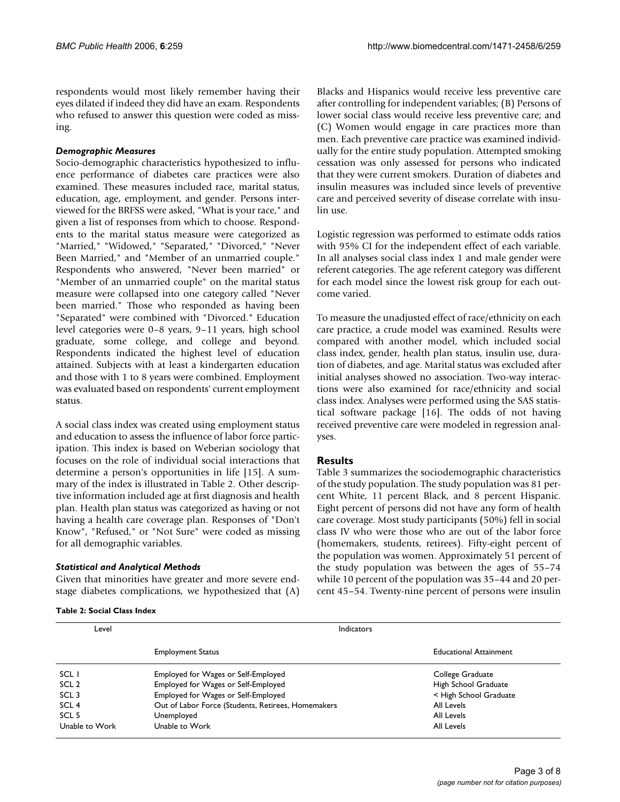respondents would most likely remember having their eyes dilated if indeed they did have an exam. Respondents who refused to answer this question were coded as missing.

#### *Demographic Measures*

Socio-demographic characteristics hypothesized to influence performance of diabetes care practices were also examined. These measures included race, marital status, education, age, employment, and gender. Persons interviewed for the BRFSS were asked, "What is your race," and given a list of responses from which to choose. Respondents to the marital status measure were categorized as "Married," "Widowed," "Separated," "Divorced," "Never Been Married," and "Member of an unmarried couple." Respondents who answered, "Never been married" or "Member of an unmarried couple" on the marital status measure were collapsed into one category called "Never been married." Those who responded as having been "Separated" were combined with "Divorced." Education level categories were 0–8 years, 9–11 years, high school graduate, some college, and college and beyond. Respondents indicated the highest level of education attained. Subjects with at least a kindergarten education and those with 1 to 8 years were combined. Employment was evaluated based on respondents' current employment status.

A social class index was created using employment status and education to assess the influence of labor force participation. This index is based on Weberian sociology that focuses on the role of individual social interactions that determine a person's opportunities in life [15]. A summary of the index is illustrated in Table 2. Other descriptive information included age at first diagnosis and health plan. Health plan status was categorized as having or not having a health care coverage plan. Responses of "Don't Know", "Refused," or "Not Sure" were coded as missing for all demographic variables.

### *Statistical and Analytical Methods*

Given that minorities have greater and more severe endstage diabetes complications, we hypothesized that (A)

| Table 2: Social Class Index |  |
|-----------------------------|--|
|-----------------------------|--|

Blacks and Hispanics would receive less preventive care after controlling for independent variables; (B) Persons of lower social class would receive less preventive care; and (C) Women would engage in care practices more than men. Each preventive care practice was examined individually for the entire study population. Attempted smoking cessation was only assessed for persons who indicated that they were current smokers. Duration of diabetes and insulin measures was included since levels of preventive care and perceived severity of disease correlate with insulin use.

Logistic regression was performed to estimate odds ratios with 95% CI for the independent effect of each variable. In all analyses social class index 1 and male gender were referent categories. The age referent category was different for each model since the lowest risk group for each outcome varied.

To measure the unadjusted effect of race/ethnicity on each care practice, a crude model was examined. Results were compared with another model, which included social class index, gender, health plan status, insulin use, duration of diabetes, and age. Marital status was excluded after initial analyses showed no association. Two-way interactions were also examined for race/ethnicity and social class index. Analyses were performed using the SAS statistical software package [16]. The odds of not having received preventive care were modeled in regression analyses.

# **Results**

Table 3 summarizes the sociodemographic characteristics of the study population. The study population was 81 percent White, 11 percent Black, and 8 percent Hispanic. Eight percent of persons did not have any form of health care coverage. Most study participants (50%) fell in social class IV who were those who are out of the labor force (homemakers, students, retirees). Fifty-eight percent of the population was women. Approximately 51 percent of the study population was between the ages of 55–74 while 10 percent of the population was 35–44 and 20 percent 45–54. Twenty-nine percent of persons were insulin

| Level            | Indicators                                         |                               |  |  |
|------------------|----------------------------------------------------|-------------------------------|--|--|
|                  | <b>Employment Status</b>                           | <b>Educational Attainment</b> |  |  |
| SCL I            | Employed for Wages or Self-Employed                | College Graduate              |  |  |
| SCL <sub>2</sub> | Employed for Wages or Self-Employed                | High School Graduate          |  |  |
| SCL <sub>3</sub> | Employed for Wages or Self-Employed                | < High School Graduate        |  |  |
| SCL <sub>4</sub> | Out of Labor Force (Students, Retirees, Homemakers | All Levels                    |  |  |
| SCL <sub>5</sub> | Unemployed                                         | All Levels                    |  |  |
| Unable to Work   | Unable to Work                                     | All Levels                    |  |  |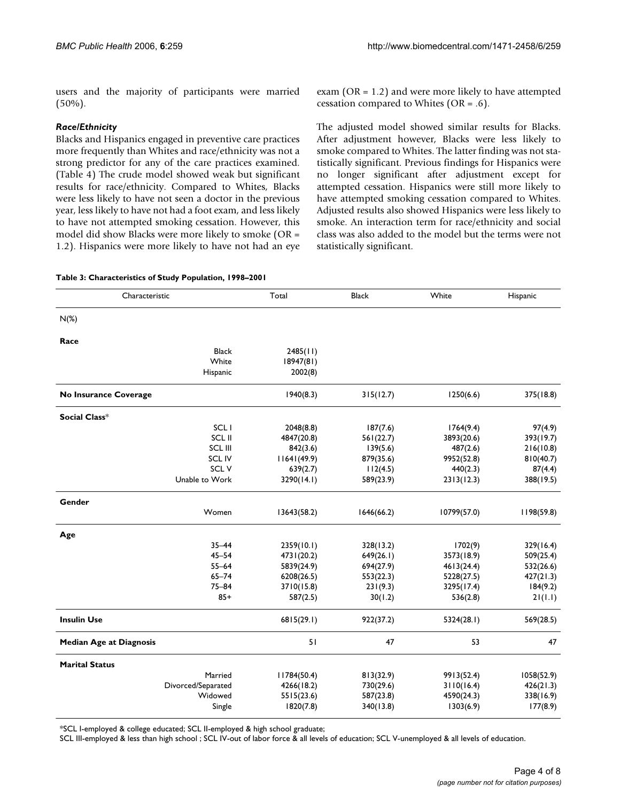users and the majority of participants were married  $(50\%)$ .

#### *Race/Ethnicity*

Blacks and Hispanics engaged in preventive care practices more frequently than Whites and race/ethnicity was not a strong predictor for any of the care practices examined. (Table 4) The crude model showed weak but significant results for race/ethnicity. Compared to Whites, Blacks were less likely to have not seen a doctor in the previous year, less likely to have not had a foot exam, and less likely to have not attempted smoking cessation. However, this model did show Blacks were more likely to smoke (OR = 1.2). Hispanics were more likely to have not had an eye exam ( $OR = 1.2$ ) and were more likely to have attempted cessation compared to Whites ( $OR = .6$ ).

The adjusted model showed similar results for Blacks. After adjustment however, Blacks were less likely to smoke compared to Whites. The latter finding was not statistically significant. Previous findings for Hispanics were no longer significant after adjustment except for attempted cessation. Hispanics were still more likely to have attempted smoking cessation compared to Whites. Adjusted results also showed Hispanics were less likely to smoke. An interaction term for race/ethnicity and social class was also added to the model but the terms were not statistically significant.

#### **Table 3: Characteristics of Study Population, 1998–2001**

| Characteristic                 |                    | Total       | <b>Black</b> | White       | Hispanic   |
|--------------------------------|--------------------|-------------|--------------|-------------|------------|
| $N(\%)$                        |                    |             |              |             |            |
| Race                           |                    |             |              |             |            |
|                                | <b>Black</b>       | 2485(11)    |              |             |            |
|                                | White              | 18947(81)   |              |             |            |
|                                | Hispanic           | 2002(8)     |              |             |            |
| No Insurance Coverage          |                    | 1940(8.3)   | 315(12.7)    | 1250(6.6)   | 375(18.8)  |
| Social Class*                  |                    |             |              |             |            |
|                                | SCL <sub>I</sub>   | 2048(8.8)   | 187(7.6)     | 1764(9.4)   | 97(4.9)    |
|                                | SCL II             | 4847(20.8)  | 561(22.7)    | 3893(20.6)  | 393(19.7)  |
|                                | SCL III            | 842(3.6)    | 139(5.6)     | 487(2.6)    | 216(10.8)  |
|                                | SCL IV             | 11641(49.9) | 879(35.6)    | 9952(52.8)  | 810(40.7)  |
|                                | SCL V              | 639(2.7)    | 112(4.5)     | 440(2.3)    | 87(4.4)    |
|                                | Unable to Work     | 3290(14.1)  | 589(23.9)    | 2313(12.3)  | 388(19.5)  |
| Gender                         |                    |             |              |             |            |
|                                | Women              | 13643(58.2) | 1646(66.2)   | 10799(57.0) | 1198(59.8) |
| Age                            |                    |             |              |             |            |
|                                | $35 - 44$          | 2359(10.1)  | 328(13.2)    | 1702(9)     | 329(16.4)  |
|                                | $45 - 54$          | 4731(20.2)  | 649(26.1)    | 3573(18.9)  | 509(25.4)  |
|                                | $55 - 64$          | 5839(24.9)  | 694(27.9)    | 4613(24.4)  | 532(26.6)  |
|                                | $65 - 74$          | 6208(26.5)  | 553(22.3)    | 5228(27.5)  | 427(21.3)  |
|                                | $75 - 84$          | 3710(15.8)  | 231(9.3)     | 3295(17.4)  | 184(9.2)   |
|                                | $85+$              | 587(2.5)    | 30(1.2)      | 536(2.8)    | 21(1.1)    |
| <b>Insulin Use</b>             |                    | 6815(29.1)  | 922(37.2)    | 5324(28.1)  | 569(28.5)  |
| <b>Median Age at Diagnosis</b> |                    | 51          | 47           | 53          | 47         |
| <b>Marital Status</b>          |                    |             |              |             |            |
|                                | Married            | 11784(50.4) | 813(32.9)    | 9913(52.4)  | 1058(52.9) |
|                                | Divorced/Separated | 4266(18.2)  | 730(29.6)    | 3110(16.4)  | 426(21.3)  |
|                                | Widowed            | 5515(23.6)  | 587(23.8)    | 4590(24.3)  | 338(16.9)  |
|                                | Single             | 1820(7.8)   | 340(13.8)    | 1303(6.9)   | 177(8.9)   |

\*SCL I-employed & college educated; SCL II-employed & high school graduate;

SCL III-employed & less than high school ; SCL IV-out of labor force & all levels of education; SCL V-unemployed & all levels of education.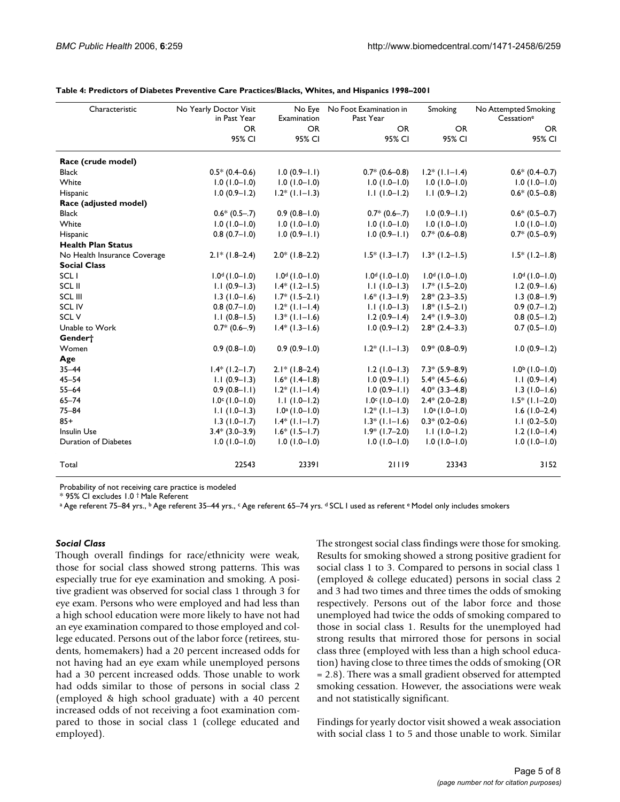| Characteristic               | No Yearly Doctor Visit<br>in Past Year | No Eye<br>Examination | No Foot Examination in<br>Past Year | Smoking            | No Attempted Smoking<br>Cessation <sup>e</sup> |
|------------------------------|----------------------------------------|-----------------------|-------------------------------------|--------------------|------------------------------------------------|
|                              | <b>OR</b>                              | <b>OR</b>             | <b>OR</b>                           | <b>OR</b>          | OR.                                            |
|                              | 95% CI                                 | 95% CI                | 95% CI                              | 95% CI             | 95% CI                                         |
| Race (crude model)           |                                        |                       |                                     |                    |                                                |
| <b>Black</b>                 | $0.5*$ (0.4-0.6)                       | $1.0(0.9 - 1.1)$      | $0.7*$ (0.6-0.8)                    | $1.2*(1.1-1.4)$    | $0.6*$ (0.4–0.7)                               |
| White                        | $1.0(1.0-1.0)$                         | $1.0(1.0-1.0)$        | $1.0(1.0-1.0)$                      | $1.0(1.0-1.0)$     | $1.0(1.0-1.0)$                                 |
| Hispanic                     | $1.0(0.9 - 1.2)$                       | $1.2*(1.1-1.3)$       | $1.1(1.0-1.2)$                      | $1.1(0.9-1.2)$     | $0.6*$ (0.5-0.8)                               |
| Race (adjusted model)        |                                        |                       |                                     |                    |                                                |
| <b>Black</b>                 | $0.6*$ (0.5–.7)                        | $0.9(0.8 - 1.0)$      | $0.7*$ (0.6-.7)                     | $1.0(0.9 - 1.1)$   | $0.6*$ (0.5-0.7)                               |
| White                        | $1.0(1.0-1.0)$                         | $1.0(1.0-1.0)$        | $1.0(1.0-1.0)$                      | $1.0(1.0-1.0)$     | $1.0(1.0-1.0)$                                 |
| Hispanic                     | $0.8(0.7 - 1.0)$                       | $1.0(0.9-1.1)$        | $1.0(0.9 - 1.1)$                    | $0.7*$ (0.6-0.8)   | $0.7*$ (0.5-0.9)                               |
| <b>Health Plan Status</b>    |                                        |                       |                                     |                    |                                                |
| No Health Insurance Coverage | $2.1*$ (1.8-2.4)                       | $2.0*$ (1.8-2.2)      | $1.5*$ (1.3–1.7)                    | $1.3*(1.2-1.5)$    | $1.5*$ (1.2–1.8)                               |
| <b>Social Class</b>          |                                        |                       |                                     |                    |                                                |
| SCL <sub>I</sub>             | $1.0d$ (1.0-1.0)                       | $1.0d$ (1.0-1.0)      | 1.0 <sup>d</sup> (1.0–1.0)          | $1.0d$ (1.0-1.0)   | $1.0d$ (1.0-1.0)                               |
| SCL II                       | $1.1(0.9-1.3)$                         | $1.4*$ (1.2–1.5)      | $1.1(1.0-1.3)$                      | $1.7*$ (1.5-2.0)   | $1.2(0.9-1.6)$                                 |
| SCL III                      | $1.3(1.0-1.6)$                         | $1.7*$ (1.5-2.1)      | $1.6*(1.3-1.9)$                     | $2.8*$ (2.3-3.5)   | $1.3(0.8-1.9)$                                 |
| <b>SCLIV</b>                 | $0.8(0.7 - 1.0)$                       | $1.2*(1.1-1.4)$       | $1.1(1.0-1.3)$                      | $1.8*(1.5-2.1)$    | $0.9(0.7 - 1.2)$                               |
| SCL V                        | $1.1(0.8-1.5)$                         | $1.3*$ (1.1–1.6)      | $1.2(0.9-1.4)$                      | $2.4*$ (1.9-3.0)   | $0.8(0.5-1.2)$                                 |
| Unable to Work               | $0.7*$ (0.6-.9)                        | $1.4*$ (1.3-1.6)      | $1.0(0.9-1.2)$                      | $2.8* (2.4 - 3.3)$ | $0.7(0.5 - 1.0)$                               |
| Gendert                      |                                        |                       |                                     |                    |                                                |
| Women                        | $0.9(0.8-1.0)$                         | $0.9(0.9 - 1.0)$      | $1.2*(1.1-1.3)$                     | $0.9*$ (0.8-0.9)   | $1.0(0.9 - 1.2)$                               |
| Age                          |                                        |                       |                                     |                    |                                                |
| $35 - 44$                    | $1.4*$ (1.2–1.7)                       | $2.1*$ (1.8-2.4)      | $1.2(1.0-1.3)$                      | $7.3* (5.9 - 8.9)$ | $1.0b$ (1.0-1.0)                               |
| $45 - 54$                    | $1.1(0.9-1.3)$                         | $1.6*$ (1.4–1.8)      | $1.0(0.9 - 1.1)$                    | $5.4*$ (4.5-6.6)   | $1.1(0.9-1.4)$                                 |
| $55 - 64$                    | $0.9(0.8 - 1.1)$                       | $1.2*(1.1-1.4)$       | $1.0(0.9-1.1)$                      | $4.0*$ (3.3-4.8)   | $1.3(1.0-1.6)$                                 |
| $65 - 74$                    | $1.0c$ (1.0-1.0)                       | $1.1(1.0-1.2)$        | $1.0c$ (1.0-1.0)                    | $2.4*$ (2.0-2.8)   | $1.5*$ (1.1-2.0)                               |
| $75 - 84$                    | $1.1(1.0-1.3)$                         | $1.0^a (1.0 - 1.0)$   | $1.2*(1.1-1.3)$                     | $1.0a$ (1.0-1.0)   | $1.6(1.0-2.4)$                                 |
| $85+$                        | $1.3(1.0-1.7)$                         | $1.4*$ (1.1–1.7)      | $1.3*$ (1.1–1.6)                    | $0.3*$ (0.2-0.6)   | $1.1(0.2 - 5.0)$                               |
| <b>Insulin Use</b>           | $3.4* (3.0 - 3.9)$                     | $1.6*$ (1.5-1.7)      | $1.9*$ (1.7-2.0)                    | $1.1(1.0-1.2)$     | $1.2(1.0-1.4)$                                 |
| <b>Duration of Diabetes</b>  | $1.0(1.0-1.0)$                         | $1.0(1.0-1.0)$        | $1.0(1.0-1.0)$                      | $1.0(1.0-1.0)$     | $1.0(1.0-1.0)$                                 |
| Total                        | 22543                                  | 23391                 | 21119                               | 23343              | 3152                                           |

#### **Table 4: Predictors of Diabetes Preventive Care Practices/Blacks, Whites, and Hispanics 1998–2001**

Probability of not receiving care practice is modeled

\* 95% CI excludes 1.0 † Male Referent

a Age referent 75–84 yrs., b Age referent 35–44 yrs., <sup>c</sup> Age referent 65–74 yrs. d SCL I used as referent <sup>e</sup> Model only includes smokers

### *Social Class*

Though overall findings for race/ethnicity were weak, those for social class showed strong patterns. This was especially true for eye examination and smoking. A positive gradient was observed for social class 1 through 3 for eye exam. Persons who were employed and had less than a high school education were more likely to have not had an eye examination compared to those employed and college educated. Persons out of the labor force (retirees, students, homemakers) had a 20 percent increased odds for not having had an eye exam while unemployed persons had a 30 percent increased odds. Those unable to work had odds similar to those of persons in social class 2 (employed & high school graduate) with a 40 percent increased odds of not receiving a foot examination compared to those in social class 1 (college educated and employed).

The strongest social class findings were those for smoking. Results for smoking showed a strong positive gradient for social class 1 to 3. Compared to persons in social class 1 (employed & college educated) persons in social class 2 and 3 had two times and three times the odds of smoking respectively. Persons out of the labor force and those unemployed had twice the odds of smoking compared to those in social class 1. Results for the unemployed had strong results that mirrored those for persons in social class three (employed with less than a high school education) having close to three times the odds of smoking (OR = 2.8). There was a small gradient observed for attempted smoking cessation. However, the associations were weak and not statistically significant.

Findings for yearly doctor visit showed a weak association with social class 1 to 5 and those unable to work. Similar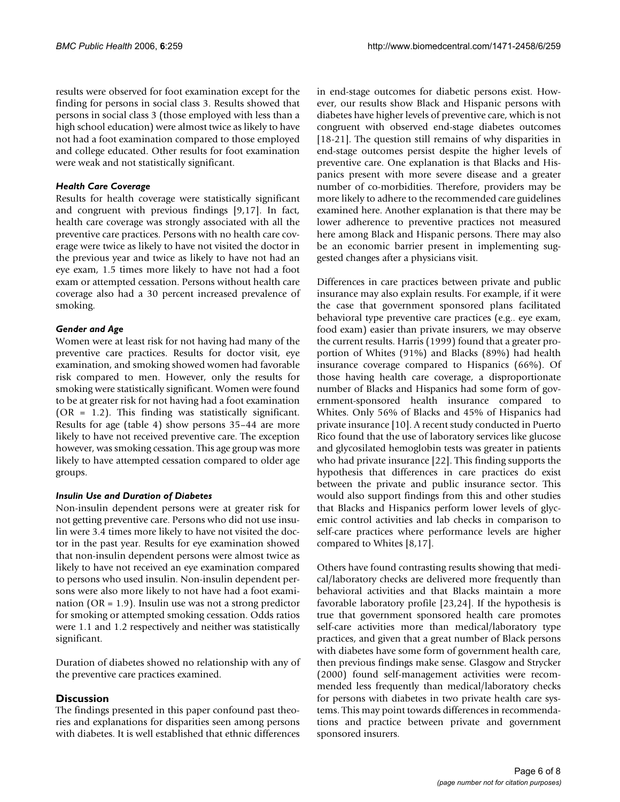results were observed for foot examination except for the finding for persons in social class 3. Results showed that persons in social class 3 (those employed with less than a high school education) were almost twice as likely to have not had a foot examination compared to those employed and college educated. Other results for foot examination were weak and not statistically significant.

#### *Health Care Coverage*

Results for health coverage were statistically significant and congruent with previous findings [9,17]. In fact, health care coverage was strongly associated with all the preventive care practices. Persons with no health care coverage were twice as likely to have not visited the doctor in the previous year and twice as likely to have not had an eye exam, 1.5 times more likely to have not had a foot exam or attempted cessation. Persons without health care coverage also had a 30 percent increased prevalence of smoking.

### *Gender and Age*

Women were at least risk for not having had many of the preventive care practices. Results for doctor visit, eye examination, and smoking showed women had favorable risk compared to men. However, only the results for smoking were statistically significant. Women were found to be at greater risk for not having had a foot examination  $(OR = 1.2)$ . This finding was statistically significant. Results for age (table 4) show persons 35–44 are more likely to have not received preventive care. The exception however, was smoking cessation. This age group was more likely to have attempted cessation compared to older age groups.

### *Insulin Use and Duration of Diabetes*

Non-insulin dependent persons were at greater risk for not getting preventive care. Persons who did not use insulin were 3.4 times more likely to have not visited the doctor in the past year. Results for eye examination showed that non-insulin dependent persons were almost twice as likely to have not received an eye examination compared to persons who used insulin. Non-insulin dependent persons were also more likely to not have had a foot examination ( $OR = 1.9$ ). Insulin use was not a strong predictor for smoking or attempted smoking cessation. Odds ratios were 1.1 and 1.2 respectively and neither was statistically significant.

Duration of diabetes showed no relationship with any of the preventive care practices examined.

# **Discussion**

The findings presented in this paper confound past theories and explanations for disparities seen among persons with diabetes. It is well established that ethnic differences in end-stage outcomes for diabetic persons exist. However, our results show Black and Hispanic persons with diabetes have higher levels of preventive care, which is not congruent with observed end-stage diabetes outcomes [18-21]. The question still remains of why disparities in end-stage outcomes persist despite the higher levels of preventive care. One explanation is that Blacks and Hispanics present with more severe disease and a greater number of co-morbidities. Therefore, providers may be more likely to adhere to the recommended care guidelines examined here. Another explanation is that there may be lower adherence to preventive practices not measured here among Black and Hispanic persons. There may also be an economic barrier present in implementing suggested changes after a physicians visit.

Differences in care practices between private and public insurance may also explain results. For example, if it were the case that government sponsored plans facilitated behavioral type preventive care practices (e.g.. eye exam, food exam) easier than private insurers, we may observe the current results. Harris (1999) found that a greater proportion of Whites (91%) and Blacks (89%) had health insurance coverage compared to Hispanics (66%). Of those having health care coverage, a disproportionate number of Blacks and Hispanics had some form of government-sponsored health insurance compared to Whites. Only 56% of Blacks and 45% of Hispanics had private insurance [10]. A recent study conducted in Puerto Rico found that the use of laboratory services like glucose and glycosilated hemoglobin tests was greater in patients who had private insurance [22]. This finding supports the hypothesis that differences in care practices do exist between the private and public insurance sector. This would also support findings from this and other studies that Blacks and Hispanics perform lower levels of glycemic control activities and lab checks in comparison to self-care practices where performance levels are higher compared to Whites [8,17].

Others have found contrasting results showing that medical/laboratory checks are delivered more frequently than behavioral activities and that Blacks maintain a more favorable laboratory profile [23,24]. If the hypothesis is true that government sponsored health care promotes self-care activities more than medical/laboratory type practices, and given that a great number of Black persons with diabetes have some form of government health care, then previous findings make sense. Glasgow and Strycker (2000) found self-management activities were recommended less frequently than medical/laboratory checks for persons with diabetes in two private health care systems. This may point towards differences in recommendations and practice between private and government sponsored insurers.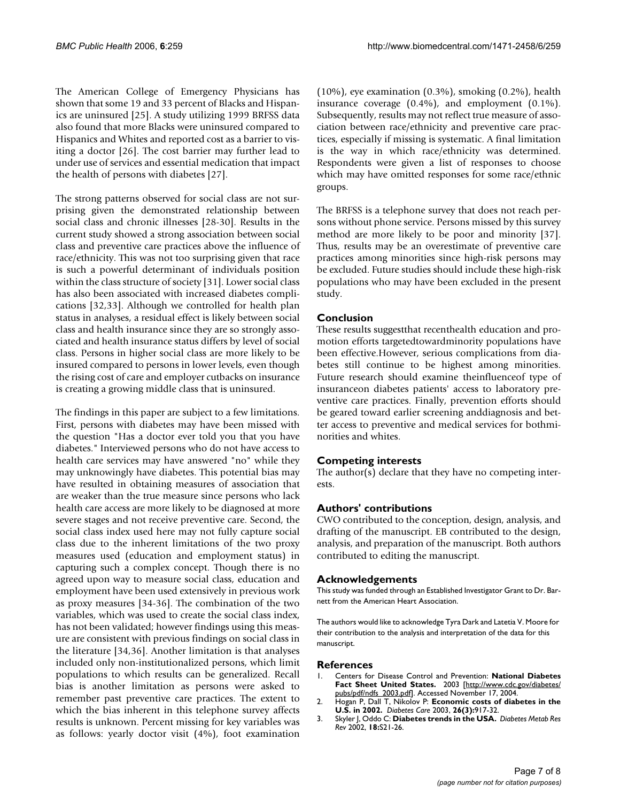The American College of Emergency Physicians has shown that some 19 and 33 percent of Blacks and Hispanics are uninsured [25]. A study utilizing 1999 BRFSS data also found that more Blacks were uninsured compared to Hispanics and Whites and reported cost as a barrier to visiting a doctor [26]. The cost barrier may further lead to under use of services and essential medication that impact the health of persons with diabetes [27].

The strong patterns observed for social class are not surprising given the demonstrated relationship between social class and chronic illnesses [28-30]. Results in the current study showed a strong association between social class and preventive care practices above the influence of race/ethnicity. This was not too surprising given that race is such a powerful determinant of individuals position within the class structure of society [31]. Lower social class has also been associated with increased diabetes complications [32,33]. Although we controlled for health plan status in analyses, a residual effect is likely between social class and health insurance since they are so strongly associated and health insurance status differs by level of social class. Persons in higher social class are more likely to be insured compared to persons in lower levels, even though the rising cost of care and employer cutbacks on insurance is creating a growing middle class that is uninsured.

The findings in this paper are subject to a few limitations. First, persons with diabetes may have been missed with the question "Has a doctor ever told you that you have diabetes." Interviewed persons who do not have access to health care services may have answered "no" while they may unknowingly have diabetes. This potential bias may have resulted in obtaining measures of association that are weaker than the true measure since persons who lack health care access are more likely to be diagnosed at more severe stages and not receive preventive care. Second, the social class index used here may not fully capture social class due to the inherent limitations of the two proxy measures used (education and employment status) in capturing such a complex concept. Though there is no agreed upon way to measure social class, education and employment have been used extensively in previous work as proxy measures [34-36]. The combination of the two variables, which was used to create the social class index, has not been validated; however findings using this measure are consistent with previous findings on social class in the literature [34,36]. Another limitation is that analyses included only non-institutionalized persons, which limit populations to which results can be generalized. Recall bias is another limitation as persons were asked to remember past preventive care practices. The extent to which the bias inherent in this telephone survey affects results is unknown. Percent missing for key variables was as follows: yearly doctor visit (4%), foot examination

(10%), eye examination (0.3%), smoking (0.2%), health insurance coverage (0.4%), and employment (0.1%). Subsequently, results may not reflect true measure of association between race/ethnicity and preventive care practices, especially if missing is systematic. A final limitation is the way in which race/ethnicity was determined. Respondents were given a list of responses to choose which may have omitted responses for some race/ethnic groups.

The BRFSS is a telephone survey that does not reach persons without phone service. Persons missed by this survey method are more likely to be poor and minority [37]. Thus, results may be an overestimate of preventive care practices among minorities since high-risk persons may be excluded. Future studies should include these high-risk populations who may have been excluded in the present study.

## **Conclusion**

These results suggestthat recenthealth education and promotion efforts targetedtowardminority populations have been effective.However, serious complications from diabetes still continue to be highest among minorities. Future research should examine theinfluenceof type of insuranceon diabetes patients' access to laboratory preventive care practices. Finally, prevention efforts should be geared toward earlier screening anddiagnosis and better access to preventive and medical services for bothminorities and whites.

### **Competing interests**

The author(s) declare that they have no competing interests.

# **Authors' contributions**

CWO contributed to the conception, design, analysis, and drafting of the manuscript. EB contributed to the design, analysis, and preparation of the manuscript. Both authors contributed to editing the manuscript.

### **Acknowledgements**

This study was funded through an Established Investigator Grant to Dr. Barnett from the American Heart Association.

The authors would like to acknowledge Tyra Dark and Latetia V. Moore for their contribution to the analysis and interpretation of the data for this manuscript.

### **References**

- 1. Centers for Disease Control and Prevention: **National Diabetes Fact Sheet United States.** 2003 [\[http://www.cdc.gov/diabetes/](http://www.cdc.gov/diabetes/pubs/pdf/ndfs_2003.pdf) [pubs/pdf/ndfs\\_2003.pdf\]](http://www.cdc.gov/diabetes/pubs/pdf/ndfs_2003.pdf). Accessed November 17, 2004.
- 2. Hogan P, Dall T, Nikolov P: **[Economic costs of diabetes in the](http://www.ncbi.nlm.nih.gov/entrez/query.fcgi?cmd=Retrieve&db=PubMed&dopt=Abstract&list_uids=12610059) [U.S. in 2002.](http://www.ncbi.nlm.nih.gov/entrez/query.fcgi?cmd=Retrieve&db=PubMed&dopt=Abstract&list_uids=12610059)** *Diabetes Care* 2003, **26(3):**917-32.
- 3. Skyler J, Oddo C: **[Diabetes trends in the USA.](http://www.ncbi.nlm.nih.gov/entrez/query.fcgi?cmd=Retrieve&db=PubMed&dopt=Abstract&list_uids=12324981)** *Diabetes Metab Res Rev* 2002, **18:**S21-26.